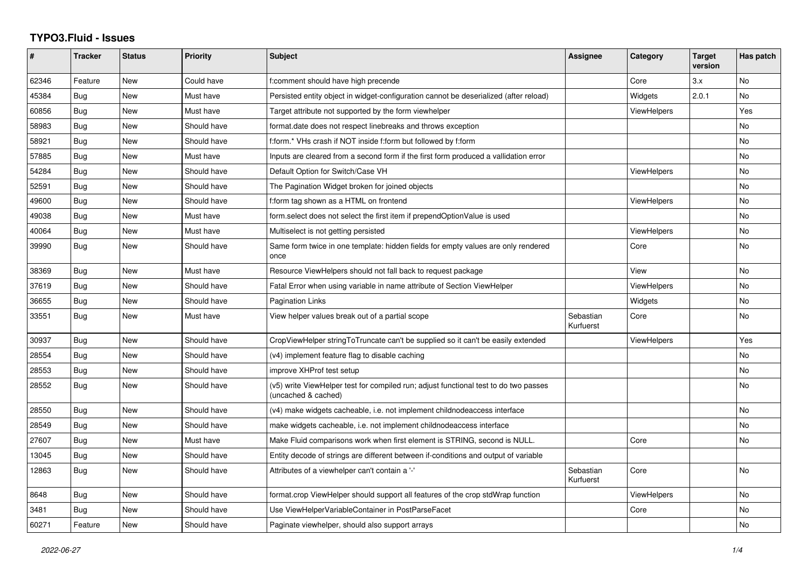## **TYPO3.Fluid - Issues**

| #     | <b>Tracker</b> | <b>Status</b> | <b>Priority</b> | <b>Subject</b>                                                                                              | Assignee               | Category           | <b>Target</b><br>version | Has patch |
|-------|----------------|---------------|-----------------|-------------------------------------------------------------------------------------------------------------|------------------------|--------------------|--------------------------|-----------|
| 62346 | Feature        | <b>New</b>    | Could have      | f:comment should have high precende                                                                         |                        | Core               | 3.x                      | No        |
| 45384 | Bug            | New           | Must have       | Persisted entity object in widget-configuration cannot be deserialized (after reload)                       |                        | Widgets            | 2.0.1                    | No.       |
| 60856 | Bug            | New           | Must have       | Target attribute not supported by the form viewhelper                                                       |                        | <b>ViewHelpers</b> |                          | Yes       |
| 58983 | Bug            | New           | Should have     | format date does not respect linebreaks and throws exception                                                |                        |                    |                          | <b>No</b> |
| 58921 | <b>Bug</b>     | New           | Should have     | f:form.* VHs crash if NOT inside f:form but followed by f:form                                              |                        |                    |                          | <b>No</b> |
| 57885 | Bug            | New           | Must have       | Inputs are cleared from a second form if the first form produced a vallidation error                        |                        |                    |                          | No        |
| 54284 | <b>Bug</b>     | <b>New</b>    | Should have     | Default Option for Switch/Case VH                                                                           |                        | <b>ViewHelpers</b> |                          | No        |
| 52591 | Bug            | New           | Should have     | The Pagination Widget broken for joined objects                                                             |                        |                    |                          | No.       |
| 49600 | <b>Bug</b>     | New           | Should have     | f:form tag shown as a HTML on frontend                                                                      |                        | <b>ViewHelpers</b> |                          | No        |
| 49038 | Bug            | New           | Must have       | form select does not select the first item if prependOptionValue is used                                    |                        |                    |                          | No        |
| 40064 | <b>Bug</b>     | New           | Must have       | Multiselect is not getting persisted                                                                        |                        | <b>ViewHelpers</b> |                          | <b>No</b> |
| 39990 | <b>Bug</b>     | New           | Should have     | Same form twice in one template: hidden fields for empty values are only rendered<br>once                   |                        | Core               |                          | No        |
| 38369 | Bug            | New           | Must have       | Resource ViewHelpers should not fall back to request package                                                |                        | View               |                          | No        |
| 37619 | <b>Bug</b>     | New           | Should have     | Fatal Error when using variable in name attribute of Section ViewHelper                                     |                        | ViewHelpers        |                          | <b>No</b> |
| 36655 | Bug            | New           | Should have     | <b>Pagination Links</b>                                                                                     |                        | Widgets            |                          | No        |
| 33551 | Bug            | New           | Must have       | View helper values break out of a partial scope                                                             | Sebastian<br>Kurfuerst | Core               |                          | No        |
| 30937 | Bug            | New           | Should have     | CropViewHelper stringToTruncate can't be supplied so it can't be easily extended                            |                        | <b>ViewHelpers</b> |                          | Yes       |
| 28554 | Bug            | New           | Should have     | (v4) implement feature flag to disable caching                                                              |                        |                    |                          | <b>No</b> |
| 28553 | Bug            | New           | Should have     | improve XHProf test setup                                                                                   |                        |                    |                          | No        |
| 28552 | Bug            | New           | Should have     | (v5) write ViewHelper test for compiled run; adjust functional test to do two passes<br>(uncached & cached) |                        |                    |                          | <b>No</b> |
| 28550 | Bug            | New           | Should have     | (v4) make widgets cacheable, i.e. not implement childnodeaccess interface                                   |                        |                    |                          | No        |
| 28549 | <b>Bug</b>     | New           | Should have     | make widgets cacheable, i.e. not implement childnodeaccess interface                                        |                        |                    |                          | <b>No</b> |
| 27607 | Bug            | New           | Must have       | Make Fluid comparisons work when first element is STRING, second is NULL.                                   |                        | Core               |                          | No        |
| 13045 | <b>Bug</b>     | New           | Should have     | Entity decode of strings are different between if-conditions and output of variable                         |                        |                    |                          |           |
| 12863 | Bug            | New           | Should have     | Attributes of a viewhelper can't contain a '-'                                                              | Sebastian<br>Kurfuerst | Core               |                          | No        |
| 8648  | Bug            | New           | Should have     | format.crop ViewHelper should support all features of the crop stdWrap function                             |                        | <b>ViewHelpers</b> |                          | No        |
| 3481  | Bug            | New           | Should have     | Use ViewHelperVariableContainer in PostParseFacet                                                           |                        | Core               |                          | No        |
| 60271 | Feature        | New           | Should have     | Paginate viewhelper, should also support arrays                                                             |                        |                    |                          | No        |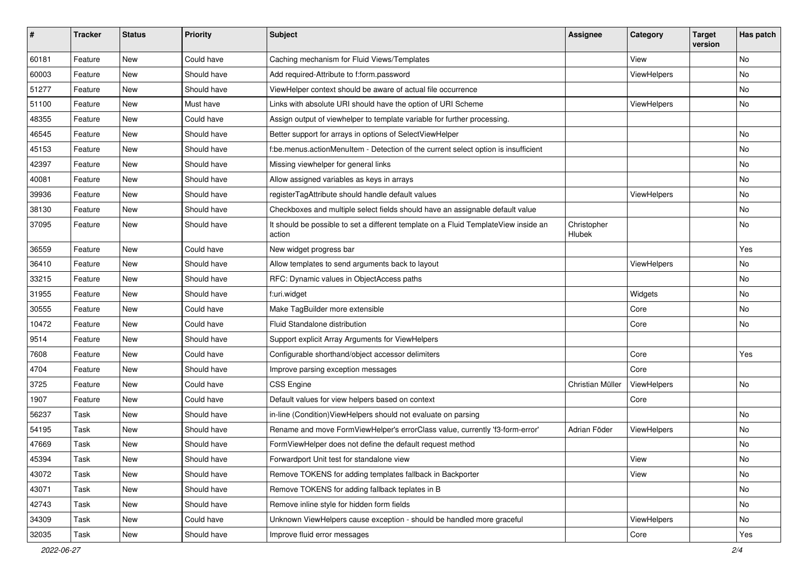| #     | <b>Tracker</b> | <b>Status</b> | <b>Priority</b> | Subject                                                                                       | <b>Assignee</b>       | Category    | <b>Target</b><br>version | Has patch |
|-------|----------------|---------------|-----------------|-----------------------------------------------------------------------------------------------|-----------------------|-------------|--------------------------|-----------|
| 60181 | Feature        | New           | Could have      | Caching mechanism for Fluid Views/Templates                                                   |                       | View        |                          | <b>No</b> |
| 60003 | Feature        | New           | Should have     | Add required-Attribute to f:form.password                                                     |                       | ViewHelpers |                          | No        |
| 51277 | Feature        | New           | Should have     | ViewHelper context should be aware of actual file occurrence                                  |                       |             |                          | No        |
| 51100 | Feature        | New           | Must have       | Links with absolute URI should have the option of URI Scheme                                  |                       | ViewHelpers |                          | No        |
| 48355 | Feature        | New           | Could have      | Assign output of viewhelper to template variable for further processing.                      |                       |             |                          |           |
| 46545 | Feature        | <b>New</b>    | Should have     | Better support for arrays in options of SelectViewHelper                                      |                       |             |                          | <b>No</b> |
| 45153 | Feature        | New           | Should have     | f:be.menus.actionMenuItem - Detection of the current select option is insufficient            |                       |             |                          | No        |
| 42397 | Feature        | New           | Should have     | Missing viewhelper for general links                                                          |                       |             |                          | No        |
| 40081 | Feature        | New           | Should have     | Allow assigned variables as keys in arrays                                                    |                       |             |                          | No        |
| 39936 | Feature        | New           | Should have     | registerTagAttribute should handle default values                                             |                       | ViewHelpers |                          | No        |
| 38130 | Feature        | New           | Should have     | Checkboxes and multiple select fields should have an assignable default value                 |                       |             |                          | No        |
| 37095 | Feature        | New           | Should have     | It should be possible to set a different template on a Fluid TemplateView inside an<br>action | Christopher<br>Hlubek |             |                          | No        |
| 36559 | Feature        | <b>New</b>    | Could have      | New widget progress bar                                                                       |                       |             |                          | Yes       |
| 36410 | Feature        | New           | Should have     | Allow templates to send arguments back to layout                                              |                       | ViewHelpers |                          | No        |
| 33215 | Feature        | New           | Should have     | RFC: Dynamic values in ObjectAccess paths                                                     |                       |             |                          | No        |
| 31955 | Feature        | New           | Should have     | f:uri.widget                                                                                  |                       | Widgets     |                          | No        |
| 30555 | Feature        | New           | Could have      | Make TagBuilder more extensible                                                               |                       | Core        |                          | No        |
| 10472 | Feature        | New           | Could have      | Fluid Standalone distribution                                                                 |                       | Core        |                          | No        |
| 9514  | Feature        | New           | Should have     | Support explicit Array Arguments for ViewHelpers                                              |                       |             |                          |           |
| 7608  | Feature        | <b>New</b>    | Could have      | Configurable shorthand/object accessor delimiters                                             |                       | Core        |                          | Yes       |
| 4704  | Feature        | New           | Should have     | Improve parsing exception messages                                                            |                       | Core        |                          |           |
| 3725  | Feature        | New           | Could have      | <b>CSS Engine</b>                                                                             | Christian Müller      | ViewHelpers |                          | No        |
| 1907  | Feature        | New           | Could have      | Default values for view helpers based on context                                              |                       | Core        |                          |           |
| 56237 | Task           | New           | Should have     | in-line (Condition) ViewHelpers should not evaluate on parsing                                |                       |             |                          | No        |
| 54195 | Task           | New           | Should have     | Rename and move FormViewHelper's errorClass value, currently 'f3-form-error'                  | Adrian Föder          | ViewHelpers |                          | No        |
| 47669 | Task           | New           | Should have     | FormViewHelper does not define the default request method                                     |                       |             |                          | No        |
| 45394 | Task           | New           | Should have     | Forwardport Unit test for standalone view                                                     |                       | View        |                          | No        |
| 43072 | Task           | New           | Should have     | Remove TOKENS for adding templates fallback in Backporter                                     |                       | View        |                          | No        |
| 43071 | Task           | New           | Should have     | Remove TOKENS for adding fallback teplates in B                                               |                       |             |                          | No        |
| 42743 | Task           | New           | Should have     | Remove inline style for hidden form fields                                                    |                       |             |                          | No        |
| 34309 | Task           | New           | Could have      | Unknown ViewHelpers cause exception - should be handled more graceful                         |                       | ViewHelpers |                          | No        |
| 32035 | Task           | New           | Should have     | Improve fluid error messages                                                                  |                       | Core        |                          | Yes       |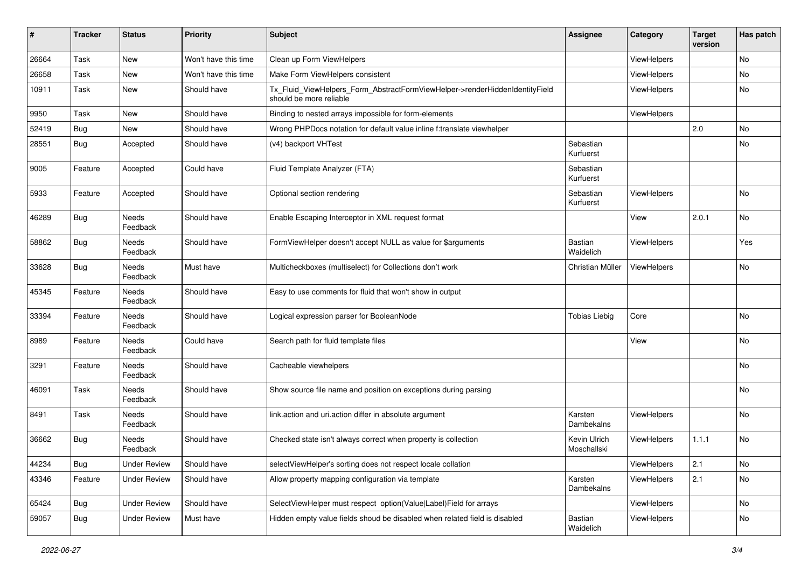| #     | <b>Tracker</b> | <b>Status</b>       | <b>Priority</b>      | <b>Subject</b>                                                                                         | <b>Assignee</b>             | Category           | <b>Target</b><br>version | Has patch |
|-------|----------------|---------------------|----------------------|--------------------------------------------------------------------------------------------------------|-----------------------------|--------------------|--------------------------|-----------|
| 26664 | Task           | New                 | Won't have this time | Clean up Form ViewHelpers                                                                              |                             | <b>ViewHelpers</b> |                          | No        |
| 26658 | Task           | New                 | Won't have this time | Make Form ViewHelpers consistent                                                                       |                             | <b>ViewHelpers</b> |                          | No        |
| 10911 | Task           | New                 | Should have          | Tx_Fluid_ViewHelpers_Form_AbstractFormViewHelper->renderHiddenIdentityField<br>should be more reliable |                             | <b>ViewHelpers</b> |                          | No        |
| 9950  | Task           | New                 | Should have          | Binding to nested arrays impossible for form-elements                                                  |                             | ViewHelpers        |                          |           |
| 52419 | Bug            | New                 | Should have          | Wrong PHPDocs notation for default value inline f:translate viewhelper                                 |                             |                    | 2.0                      | No        |
| 28551 | Bug            | Accepted            | Should have          | (v4) backport VHTest                                                                                   | Sebastian<br>Kurfuerst      |                    |                          | No        |
| 9005  | Feature        | Accepted            | Could have           | Fluid Template Analyzer (FTA)                                                                          | Sebastian<br>Kurfuerst      |                    |                          |           |
| 5933  | Feature        | Accepted            | Should have          | Optional section rendering                                                                             | Sebastian<br>Kurfuerst      | ViewHelpers        |                          | <b>No</b> |
| 46289 | Bug            | Needs<br>Feedback   | Should have          | Enable Escaping Interceptor in XML request format                                                      |                             | View               | 2.0.1                    | <b>No</b> |
| 58862 | Bug            | Needs<br>Feedback   | Should have          | FormViewHelper doesn't accept NULL as value for \$arguments                                            | Bastian<br>Waidelich        | ViewHelpers        |                          | Yes       |
| 33628 | Bug            | Needs<br>Feedback   | Must have            | Multicheckboxes (multiselect) for Collections don't work                                               | Christian Müller            | ViewHelpers        |                          | No        |
| 45345 | Feature        | Needs<br>Feedback   | Should have          | Easy to use comments for fluid that won't show in output                                               |                             |                    |                          |           |
| 33394 | Feature        | Needs<br>Feedback   | Should have          | Logical expression parser for BooleanNode                                                              | <b>Tobias Liebig</b>        | Core               |                          | No        |
| 8989  | Feature        | Needs<br>Feedback   | Could have           | Search path for fluid template files                                                                   |                             | View               |                          | No        |
| 3291  | Feature        | Needs<br>Feedback   | Should have          | Cacheable viewhelpers                                                                                  |                             |                    |                          | No        |
| 46091 | Task           | Needs<br>Feedback   | Should have          | Show source file name and position on exceptions during parsing                                        |                             |                    |                          | <b>No</b> |
| 8491  | Task           | Needs<br>Feedback   | Should have          | link.action and uri.action differ in absolute argument                                                 | Karsten<br>Dambekalns       | ViewHelpers        |                          | <b>No</b> |
| 36662 | Bug            | Needs<br>Feedback   | Should have          | Checked state isn't always correct when property is collection                                         | Kevin Ulrich<br>Moschallski | <b>ViewHelpers</b> | 1.1.1                    | No        |
| 44234 | Bug            | <b>Under Review</b> | Should have          | selectViewHelper's sorting does not respect locale collation                                           |                             | ViewHelpers        | 2.1                      | No        |
| 43346 | Feature        | <b>Under Review</b> | Should have          | Allow property mapping configuration via template                                                      | Karsten<br>Dambekalns       | ViewHelpers        | 2.1                      | No        |
| 65424 | Bug            | <b>Under Review</b> | Should have          | SelectViewHelper must respect option(Value Label)Field for arrays                                      |                             | ViewHelpers        |                          | No        |
| 59057 | <b>Bug</b>     | <b>Under Review</b> | Must have            | Hidden empty value fields shoud be disabled when related field is disabled                             | Bastian<br>Waidelich        | ViewHelpers        |                          | No        |